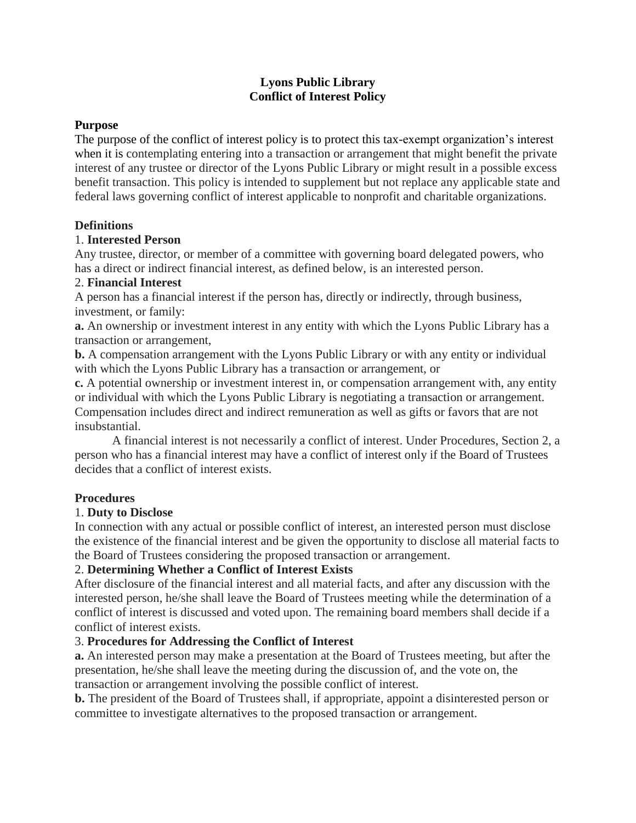# **Lyons Public Library Conflict of Interest Policy**

#### **Purpose**

The purpose of the conflict of interest policy is to protect this tax-exempt organization's interest when it is contemplating entering into a transaction or arrangement that might benefit the private interest of any trustee or director of the Lyons Public Library or might result in a possible excess benefit transaction. This policy is intended to supplement but not replace any applicable state and federal laws governing conflict of interest applicable to nonprofit and charitable organizations.

#### **Definitions**

#### 1. **Interested Person**

Any trustee, director, or member of a committee with governing board delegated powers, who has a direct or indirect financial interest, as defined below, is an interested person.

#### 2. **Financial Interest**

A person has a financial interest if the person has, directly or indirectly, through business, investment, or family:

**a.** An ownership or investment interest in any entity with which the Lyons Public Library has a transaction or arrangement,

**b.** A compensation arrangement with the Lyons Public Library or with any entity or individual with which the Lyons Public Library has a transaction or arrangement, or

**c.** A potential ownership or investment interest in, or compensation arrangement with, any entity or individual with which the Lyons Public Library is negotiating a transaction or arrangement. Compensation includes direct and indirect remuneration as well as gifts or favors that are not insubstantial.

A financial interest is not necessarily a conflict of interest. Under Procedures, Section 2, a person who has a financial interest may have a conflict of interest only if the Board of Trustees decides that a conflict of interest exists.

# **Procedures**

# 1. **Duty to Disclose**

In connection with any actual or possible conflict of interest, an interested person must disclose the existence of the financial interest and be given the opportunity to disclose all material facts to the Board of Trustees considering the proposed transaction or arrangement.

# 2. **Determining Whether a Conflict of Interest Exists**

After disclosure of the financial interest and all material facts, and after any discussion with the interested person, he/she shall leave the Board of Trustees meeting while the determination of a conflict of interest is discussed and voted upon. The remaining board members shall decide if a conflict of interest exists.

# 3. **Procedures for Addressing the Conflict of Interest**

**a.** An interested person may make a presentation at the Board of Trustees meeting, but after the presentation, he/she shall leave the meeting during the discussion of, and the vote on, the transaction or arrangement involving the possible conflict of interest.

**b.** The president of the Board of Trustees shall, if appropriate, appoint a disinterested person or committee to investigate alternatives to the proposed transaction or arrangement.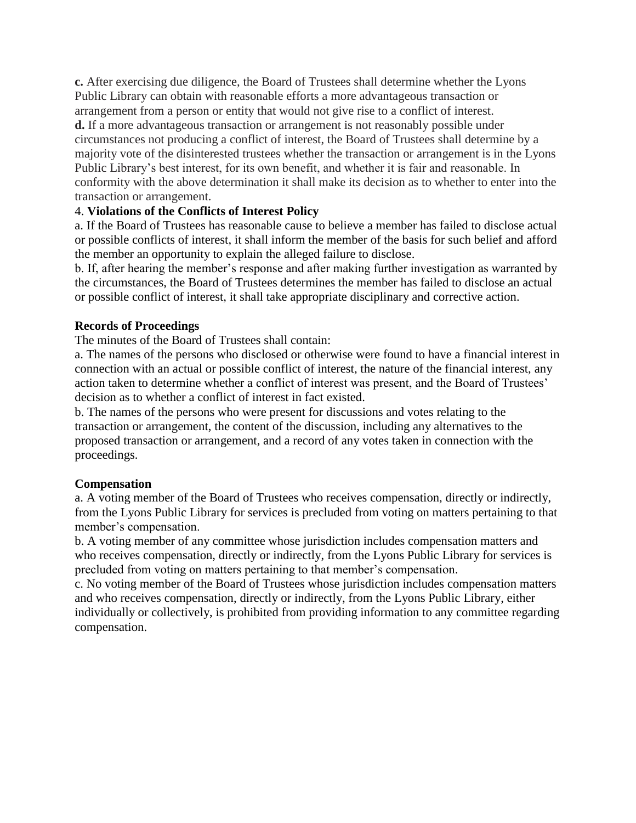**c.** After exercising due diligence, the Board of Trustees shall determine whether the Lyons Public Library can obtain with reasonable efforts a more advantageous transaction or arrangement from a person or entity that would not give rise to a conflict of interest.

**d.** If a more advantageous transaction or arrangement is not reasonably possible under circumstances not producing a conflict of interest, the Board of Trustees shall determine by a majority vote of the disinterested trustees whether the transaction or arrangement is in the Lyons Public Library's best interest, for its own benefit, and whether it is fair and reasonable. In conformity with the above determination it shall make its decision as to whether to enter into the transaction or arrangement.

# 4. **Violations of the Conflicts of Interest Policy**

a. If the Board of Trustees has reasonable cause to believe a member has failed to disclose actual or possible conflicts of interest, it shall inform the member of the basis for such belief and afford the member an opportunity to explain the alleged failure to disclose.

b. If, after hearing the member's response and after making further investigation as warranted by the circumstances, the Board of Trustees determines the member has failed to disclose an actual or possible conflict of interest, it shall take appropriate disciplinary and corrective action.

# **Records of Proceedings**

The minutes of the Board of Trustees shall contain:

a. The names of the persons who disclosed or otherwise were found to have a financial interest in connection with an actual or possible conflict of interest, the nature of the financial interest, any action taken to determine whether a conflict of interest was present, and the Board of Trustees' decision as to whether a conflict of interest in fact existed.

b. The names of the persons who were present for discussions and votes relating to the transaction or arrangement, the content of the discussion, including any alternatives to the proposed transaction or arrangement, and a record of any votes taken in connection with the proceedings.

# **Compensation**

a. A voting member of the Board of Trustees who receives compensation, directly or indirectly, from the Lyons Public Library for services is precluded from voting on matters pertaining to that member's compensation.

b. A voting member of any committee whose jurisdiction includes compensation matters and who receives compensation, directly or indirectly, from the Lyons Public Library for services is precluded from voting on matters pertaining to that member's compensation.

c. No voting member of the Board of Trustees whose jurisdiction includes compensation matters and who receives compensation, directly or indirectly, from the Lyons Public Library, either individually or collectively, is prohibited from providing information to any committee regarding compensation.